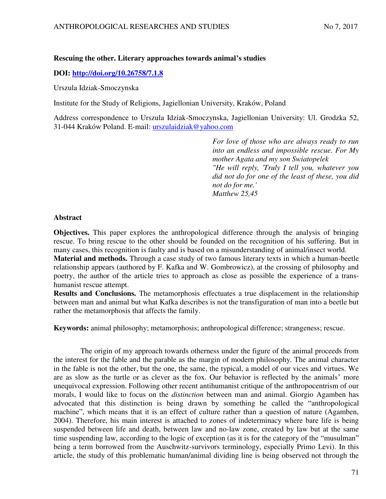## **Rescuing the other. Literary approaches towards animal's studies**

# **DOI:<http://doi.org/10.26758/7.1.8>**

Urszula Idziak-Smoczynska

Institute for the Study of Religions, Jagiellonian University, Kraków, Poland

Address correspondence to Urszula Idziak-Smoczynska, Jagiellonian University: Ul. Grodzka 52, 31-044 Kraków Poland. E-mail: urszulaidziak@yahoo.com

> *For love of those who are always ready to run into an endless and impossible rescue. For My mother Agata and my son Swiatopelek "He will reply, 'Truly I tell you, whatever you did not do for one of the least of these, you did not do for me.' Matthew 25,45*

### **Abstract**

**Objectives.** This paper explores the anthropological difference through the analysis of bringing rescue. To bring rescue to the other should be founded on the recognition of his suffering. But in many cases, this recognition is faulty and is based on a misunderstanding of animal/insect world.

**Material and methods.** Through a case study of two famous literary texts in which a human-beetle relationship appears (authored by F. Kafka and W. Gombrowicz), at the crossing of philosophy and poetry, the author of the article tries to approach as close as possible the experience of a transhumanist rescue attempt.

**Results and Conclusions.** The metamorphosis effectuates a true displacement in the relationship between man and animal but what Kafka describes is not the transfiguration of man into a beetle but rather the metamorphosis that affects the family.

**Keywords:** animal philosophy; metamorphosis; anthropological difference; strangeness; rescue.

The origin of my approach towards otherness under the figure of the animal proceeds from the interest for the fable and the parable as the margin of modern philosophy. The animal character in the fable is not the other, but the one, the same, the typical, a model of our vices and virtues. We are as slow as the turtle or as clever as the fox. Our behavior is reflected by the animals' more unequivocal expression. Following other recent antihumanist critique of the anthropocentrism of our morals, I would like to focus on the *distinction* between man and animal. Giorgio Agamben has advocated that this distinction is being drawn by something he called the "anthropological machine", which means that it is an effect of culture rather than a question of nature (Agamben, 2004). Therefore, his main interest is attached to zones of indeterminacy where bare life is being suspended between life and death, between law and no-law zone, created by law but at the same time suspending law, according to the logic of exception (as it is for the category of the "musulman" being a term borrowed from the Auschwitz-survivors terminology, especially Primo Levi). In this article, the study of this problematic human/animal dividing line is being observed not through the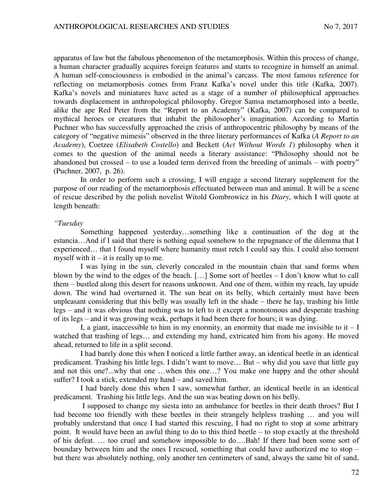apparatus of law but the fabulous phenomenon of the metamorphosis. Within this process of change, a human character gradually acquires foreign features and starts to recognize in himself an animal. A human self-consciousness is embodied in the animal's carcass. The most famous reference for reflecting on metamorphosis comes from Franz Kafka's novel under this title (Kafka, 2007). Kafka's novels and miniatures have acted as a stage of a number of philosophical approaches towards displacement in anthropological philosophy. Gregor Samsa metamorphosed into a beetle, alike the ape Red Peter from the "Report to an Academy" (Kafka, 2007) can be compared to mythical heroes or creatures that inhabit the philosopher's imagination. According to Martin Puchner who has successfully approached the crisis of anthropocentric philosophy by means of the category of "negative mimesis" observed in the three literary performances of Kafka (*A Report to an Academy*), Coetzee (*Elisabeth Costello*) and Beckett (*Act Without Words 1*) philosophy when it comes to the question of the animal needs a literary assistance: "Philosophy should not be abandoned but crossed – to use a loaded term derived from the breeding of animals – with poetry" (Puchner, 2007, p. 26).

In order to perform such a crossing, I will engage a second literary supplement for the purpose of our reading of the metamorphosis effectuated between man and animal. It will be a scene of rescue described by the polish novelist Witold Gombrowicz in his *Diary*, which I will quote at length beneath:

#### *"Tuesday*

 Something happened yesterday…something like a continuation of the dog at the estancia…And if I said that there is nothing equal somehow to the repugnance of the dilemma that I experienced… that I found myself where humanity must retch I could say this. I could also torment myself with it  $-$  it is really up to me.

I was lying in the sun, cleverly concealed in the mountain chain that sand forms when blown by the wind to the edges of the beach. […] Some sort of beetles – I don't know what to call them – bustled along this desert for reasons unknown. And one of them, within my reach, lay upside down. The wind had overturned it. The sun beat on its belly, which certainly must have been unpleasant considering that this belly was usually left in the shade – there he lay, trashing his little legs – and it was obvious that nothing was to left to it except a monotonous and desperate trashing of its legs – and it was growing weak, perhaps it had been there for hours; it was dying.

I, a giant, inaccessible to him in my enormity, an enormity that made me invisible to it  $-I$ watched that trashing of legs… and extending my hand, extricated him from his agony. He moved ahead, returned to life in a split second.

I had barely done this when I noticed a little farther away, an identical beetle in an identical predicament. Trashing his little legs. I didn't want to move… But – why did you save that little guy and not this one?...why that one …when this one…? You make one happy and the other should suffer? I took a stick, extended my hand – and saved him.

I had barely done this when I saw, somewhat farther, an identical beetle in an identical predicament. Trashing his little legs. And the sun was beating down on his belly.

 I supposed to change my siesta into an ambulance for beetles in their death throes? But I had become too friendly with these beetles in their strangely helpless trashing ... and you will probably understand that once I had started this rescuing, I had no right to stop at some arbitrary point. It would have been an awful thing to do to this third beetle – to stop exactly at the threshold of his defeat. … too cruel and somehow impossible to do….Bah! If there had been some sort of boundary between him and the ones I rescued, something that could have authorized me to stop – but there was absolutely nothing, only another ten centimeters of sand, always the same bit of sand,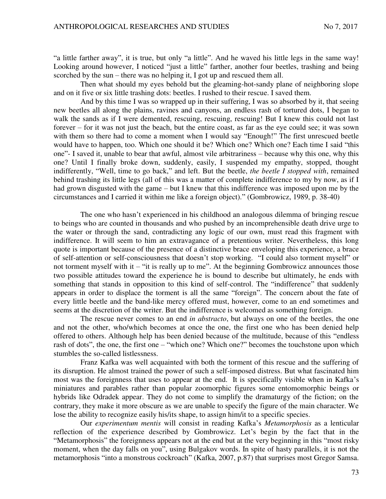"a little farther away", it is true, but only "a little". And he waved his little legs in the same way! Looking around however, I noticed "just a little" farther, another four beetles, trashing and being scorched by the sun – there was no helping it, I got up and rescued them all.

Then what should my eyes behold but the gleaming-hot-sandy plane of neighboring slope and on it five or six little trashing dots: beetles. I rushed to their rescue. I saved them.

And by this time I was so wrapped up in their suffering, I was so absorbed by it, that seeing new beetles all along the plains, ravines and canyons, an endless rash of tortured dots, I began to walk the sands as if I were demented, rescuing, rescuing, rescuing! But I knew this could not last forever – for it was not just the beach, but the entire coast, as far as the eye could see; it was sown with them so there had to come a moment when I would say "Enough!" The first unrescued beetle would have to happen, too. Which one should it be? Which one? Which one? Each time I said "this one"- I saved it, unable to bear that awful, almost vile arbitrariness – because why this one, why this one? Until I finally broke down, suddenly, easily, I suspended my empathy, stopped, thought indifferently, "Well, time to go back," and left. But the beetle, *the beetle I stopped with*, remained behind trashing its little legs (all of this was a matter of complete indifference to my by now, as if I had grown disgusted with the game – but I knew that this indifference was imposed upon me by the circumstances and I carried it within me like a foreign object)." (Gombrowicz, 1989, p. 38-40)

The one who hasn't experienced in his childhood an analogous dilemma of bringing rescue to beings who are counted in thousands and who pushed by an incomprehensible death drive urge to the water or through the sand, contradicting any logic of our own, must read this fragment with indifference. It will seem to him an extravagance of a pretentious writer. Nevertheless, this long quote is important because of the presence of a distinctive brace enveloping this experience, a brace of self-attention or self-consciousness that doesn't stop working. "I could also torment myself" or not torment myself with it – "it is really up to me". At the beginning Gombrowicz announces those two possible attitudes toward the experience he is bound to describe but ultimately, he ends with something that stands in opposition to this kind of self-control. The "indifference" that suddenly appears in order to displace the torment is all the same "foreign". The concern about the fate of every little beetle and the band-like mercy offered must, however, come to an end sometimes and seems at the discretion of the writer. But the indifference is welcomed as something foreign.

The rescue never comes to an end *in abstracto*, but always on one of the beetles, the one and not the other, who/which becomes at once the one, the first one who has been denied help offered to others. Although help has been denied because of the multitude, because of this "endless rash of dots", the one, the first one – "which one? Which one?" becomes the touchstone upon which stumbles the so-called listlessness.

Franz Kafka was well acquainted with both the torment of this rescue and the suffering of its disruption. He almost trained the power of such a self-imposed distress. But what fascinated him most was the foreignness that uses to appear at the end. It is specifically visible when in Kafka's miniatures and parables rather than popular zoomorphic figures some entomomorphic beings or hybrids like Odradek appear. They do not come to simplify the dramaturgy of the fiction; on the contrary, they make it more obscure as we are unable to specify the figure of the main character. We lose the ability to recognize easily his/its shape, to assign him/it to a specific species.

Our *experimentum mentis* will consist in reading Kafka's *Metamorphosis* as a lenticular reflection of the experience described by Gombrowicz. Let's begin by the fact that in the "Metamorphosis" the foreignness appears not at the end but at the very beginning in this "most risky moment, when the day falls on you", using Bulgakov words. In spite of hasty parallels, it is not the metamorphosis "into a monstrous cockroach" (Kafka, 2007, p.87) that surprises most Gregor Samsa.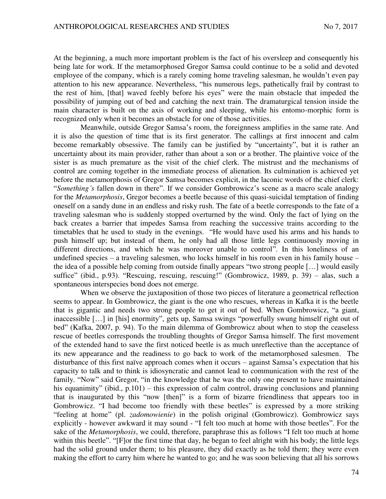At the beginning, a much more important problem is the fact of his oversleep and consequently his being late for work. If the metamorphosed Gregor Samsa could continue to be a solid and devoted employee of the company, which is a rarely coming home traveling salesman, he wouldn't even pay attention to his new appearance. Nevertheless, "his numerous legs, pathetically frail by contrast to the rest of him, [that] waved feebly before his eyes" were the main obstacle that impeded the possibility of jumping out of bed and catching the next train. The dramaturgical tension inside the main character is built on the axis of working and sleeping, while his entomo-morphic form is recognized only when it becomes an obstacle for one of those activities.

Meanwhile, outside Gregor Samsa's room, the foreignness amplifies in the same rate. And it is also the question of time that is its first generator. The callings at first innocent and calm become remarkably obsessive. The family can be justified by "uncertainty", but it is rather an uncertainty about its main provider, rather than about a son or a brother. The plaintive voice of the sister is as much premature as the visit of the chief clerk. The mistrust and the mechanisms of control are coming together in the immediate process of alienation. Its culmination is achieved yet before the metamorphosis of Gregor Samsa becomes explicit, in the laconic words of the chief clerk: "*Something's* fallen down in there". If we consider Gombrowicz's scene as a macro scale analogy for the *Metamorphosis*, Gregor becomes a beetle because of this quasi-suicidal temptation of finding oneself on a sandy dune in an endless and risky rush. The fate of a beetle corresponds to the fate of a traveling salesman who is suddenly stopped overturned by the wind. Only the fact of lying on the back creates a barrier that impedes Samsa from reaching the successive trains according to the timetables that he used to study in the evenings. "He would have used his arms and his hands to push himself up; but instead of them, he only had all those little legs continuously moving in different directions, and which he was moreover unable to control". In this loneliness of an undefined species – a traveling salesmen, who locks himself in his room even in his family house – the idea of a possible help coming from outside finally appears "two strong people […] would easily suffice" (ibid., p.93). "Rescuing, rescuing, rescuing!" (Gombrowicz, 1989, p. 39) – alas, such a spontaneous interspecies bond does not emerge.

When we observe the juxtaposition of those two pieces of literature a geometrical reflection seems to appear. In Gombrowicz, the giant is the one who rescues, whereas in Kafka it is the beetle that is gigantic and needs two strong people to get it out of bed. When Gombrowicz, "a giant, inaccessible […] in [his] enormity", gets up, Samsa swings "powerfully swung himself right out of bed" (Kafka, 2007, p. 94). To the main dilemma of Gombrowicz about when to stop the ceaseless rescue of beetles corresponds the troubling thoughts of Gregor Samsa himself. The first movement of the extended hand to save the first noticed beetle is as much unreflective than the acceptance of its new appearance and the readiness to go back to work of the metamorphosed salesmen. The disturbance of this first naïve approach comes when it occurs – against Samsa's expectation that his capacity to talk and to think is idiosyncratic and cannot lead to communication with the rest of the family. "Now" said Gregor, "in the knowledge that he was the only one present to have maintained his equanimity" (ibid., p.101) – this expression of calm control, drawing conclusions and planning that is inaugurated by this "now [then]" is a form of bizarre friendliness that appears too in Gombrowicz. "I had become too friendly with these beetles" is expressed by a more striking "feeling at home" (pl. *zadomowienie*) in the polish original (Gombrowicz). Gombrowicz says explicitly - however awkward it may sound - "I felt too much at home with those beetles". For the sake of the *Metamorphosis*, we could, therefore, paraphrase this as follows "I felt too much at home within this beetle". "[F]or the first time that day, he began to feel alright with his body; the little legs had the solid ground under them; to his pleasure, they did exactly as he told them; they were even making the effort to carry him where he wanted to go; and he was soon believing that all his sorrows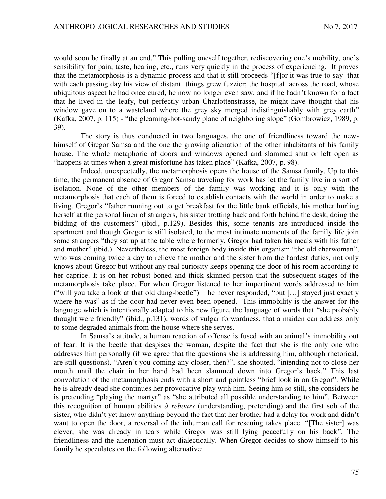would soon be finally at an end." This pulling oneself together, rediscovering one's mobility, one's sensibility for pain, taste, hearing, etc., runs very quickly in the process of experiencing. It proves that the metamorphosis is a dynamic process and that it still proceeds "[f]or it was true to say that with each passing day his view of distant things grew fuzzier; the hospital across the road, whose ubiquitous aspect he had once cured, he now no longer even saw, and if he hadn't known for a fact that he lived in the leafy, but perfectly urban Charlottenstrasse, he might have thought that his window gave on to a wasteland where the grey sky merged indistinguishably with grey earth" (Kafka, 2007, p. 115) - "the gleaming-hot-sandy plane of neighboring slope" (Gombrowicz, 1989, p. 39).

The story is thus conducted in two languages, the one of friendliness toward the newhimself of Gregor Samsa and the one the growing alienation of the other inhabitants of his family house. The whole metaphoric of doors and windows opened and slammed shut or left open as "happens at times when a great misfortune has taken place" (Kafka, 2007, p. 98).

Indeed, unexpectedly, the metamorphosis opens the house of the Samsa family. Up to this time, the permanent absence of Gregor Samsa traveling for work has let the family live in a sort of isolation. None of the other members of the family was working and it is only with the metamorphosis that each of them is forced to establish contacts with the world in order to make a living. Gregor's "father running out to get breakfast for the little bank officials, his mother hurling herself at the personal linen of strangers, his sister trotting back and forth behind the desk, doing the bidding of the customers" (ibid., p.129). Besides this, some tenants are introduced inside the apartment and though Gregor is still isolated, to the most intimate moments of the family life join some strangers "they sat up at the table where formerly, Gregor had taken his meals with his father and mother" (ibid.). Nevertheless, the most foreign body inside this organism "the old charwoman", who was coming twice a day to relieve the mother and the sister from the hardest duties, not only knows about Gregor but without any real curiosity keeps opening the door of his room according to her caprice. It is on her robust boned and thick-skinned person that the subsequent stages of the metamorphosis take place. For when Gregor listened to her impertinent words addressed to him ("will you take a look at that old dung-beetle") – he never responded, "but […] stayed just exactly where he was" as if the door had never even been opened. This immobility is the answer for the language which is intentionally adapted to his new figure, the language of words that "she probably thought were friendly" (ibid., p.131), words of vulgar forwardness, that a maiden can address only to some degraded animals from the house where she serves.

In Samsa's attitude, a human reaction of offense is fused with an animal's immobility out of fear. It is the beetle that despises the woman, despite the fact that she is the only one who addresses him personally (if we agree that the questions she is addressing him, although rhetorical, are still questions). "Aren't you coming any closer, then?", she shouted, "intending not to close her mouth until the chair in her hand had been slammed down into Gregor's back." This last convolution of the metamorphosis ends with a short and pointless "brief look in on Gregor". While he is already dead she continues her provocative play with him. Seeing him so still, she considers he is pretending "playing the martyr" as "she attributed all possible understanding to him". Between this recognition of human abilities *à rebours* (understanding, pretending) and the first sob of the sister, who didn't yet know anything beyond the fact that her brother had a delay for work and didn't want to open the door, a reversal of the inhuman call for rescuing takes place. "[The sister] was clever, she was already in tears while Gregor was still lying peacefully on his back". The friendliness and the alienation must act dialectically. When Gregor decides to show himself to his family he speculates on the following alternative: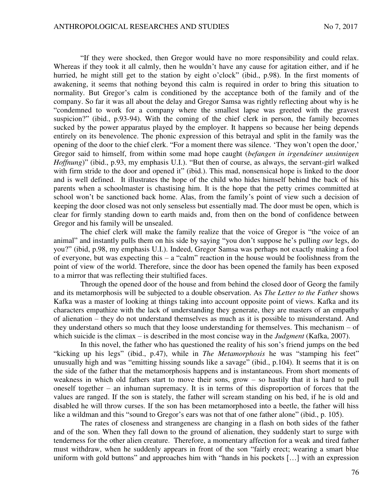"If they were shocked, then Gregor would have no more responsibility and could relax. Whereas if they took it all calmly, then he wouldn't have any cause for agitation either, and if he hurried, he might still get to the station by eight o'clock" (ibid., p.98). In the first moments of awakening, it seems that nothing beyond this calm is required in order to bring this situation to normality. But Gregor's calm is conditioned by the acceptance both of the family and of the company. So far it was all about the delay and Gregor Samsa was rightly reflecting about why is he "condemned to work for a company where the smallest lapse was greeted with the gravest suspicion?" (ibid., p.93-94). With the coming of the chief clerk in person, the family becomes sucked by the power apparatus played by the employer. It happens so because her being depends entirely on its benevolence. The phonic expression of this betrayal and split in the family was the opening of the door to the chief clerk. "For a moment there was silence. 'They won't open the door,' Gregor said to himself, from within some mad hope caught (*befangen in irgendeiner unsinnigen Hoffnung*)" (ibid., p.93, my emphasis U.I.). "But then of course, as always, the servant-girl walked with firm stride to the door and opened it" (ibid.). This mad, nonsensical hope is linked to the door and is well defined. It illustrates the hope of the child who hides himself behind the back of his parents when a schoolmaster is chastising him. It is the hope that the petty crimes committed at school won't be sanctioned back home. Alas, from the family's point of view such a decision of keeping the door closed was not only senseless but essentially mad. The door must be open, which is clear for firmly standing down to earth maids and, from then on the bond of confidence between Gregor and his family will be unsealed.

The chief clerk will make the family realize that the voice of Gregor is "the voice of an animal" and instantly pulls them on his side by saying "you don't suppose he's pulling *our* legs, do you?" (ibid, p.98, my emphasis U.I.). Indeed, Gregor Samsa was perhaps not exactly making a fool of everyone, but was expecting this  $-$  a "calm" reaction in the house would be foolishness from the point of view of the world. Therefore, since the door has been opened the family has been exposed to a mirror that was reflecting their stultified faces.

Through the opened door of the house and from behind the closed door of Georg the family and its metamorphosis will be subjected to a double observation. As *The Letter to the Father* shows Kafka was a master of looking at things taking into account opposite point of views. Kafka and its characters empathize with the lack of understanding they generate, they are masters of an empathy of alienation – they do not understand themselves as much as it is possible to misunderstand. And they understand others so much that they loose understanding for themselves. This mechanism – of which suicide is the climax – is described in the most concise way in the *Judgment* (Kafka, 2007).

In this novel, the father who has questioned the reality of his son's friend jumps on the bed "kicking up his legs" (ibid., p.47), while in *The Metamorphosis* he was "stamping his feet" unusually high and was "emitting hissing sounds like a savage" (ibid., p.104). It seems that it is on the side of the father that the metamorphosis happens and is instantaneous. From short moments of weakness in which old fathers start to move their sons, grow – so hastily that it is hard to pull oneself together – an inhuman supremacy. It is in terms of this disproportion of forces that the values are ranged. If the son is stately, the father will scream standing on his bed, if he is old and disabled he will throw curses. If the son has been metamorphosed into a beetle, the father will hiss like a wildman and this "sound to Gregor's ears was not that of one father alone" (ibid., p. 105).

The rates of closeness and strangeness are changing in a flash on both sides of the father and of the son. When they fall down to the ground of alienation, they suddenly start to surge with tenderness for the other alien creature. Therefore, a momentary affection for a weak and tired father must withdraw, when he suddenly appears in front of the son "fairly erect; wearing a smart blue uniform with gold buttons" and approaches him with "hands in his pockets [...] with an expression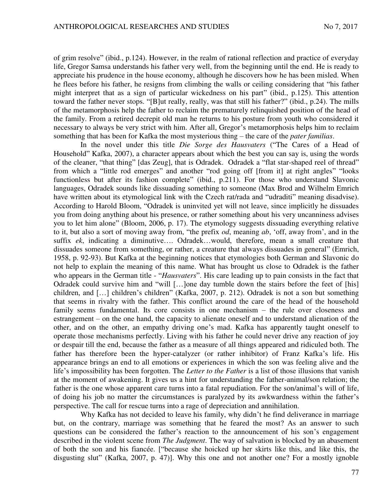of grim resolve" (ibid., p.124). However, in the realm of rational reflection and practice of everyday life, Gregor Samsa understands his father very well, from the beginning until the end. He is ready to appreciate his prudence in the house economy, although he discovers how he has been misled. When he flees before his father, he resigns from climbing the walls or ceiling considering that "his father might interpret that as a sign of particular wickedness on his part" (ibid., p.125). This attention toward the father never stops. "[B]ut really, really, was that still his father?" (ibid., p.24). The mills of the metamorphosis help the father to reclaim the prematurely relinquished position of the head of the family. From a retired decrepit old man he returns to his posture from youth who considered it necessary to always be very strict with him. After all, Gregor's metamorphosis helps him to reclaim something that has been for Kafka the most mysterious thing – the care of the *pater familias*.

In the novel under this title *Die Sorge des Hausvaters* ("The Cares of a Head of Household" Kafka, 2007), a character appears about which the best you can say is, using the words of the cleaner, "that thing" [das Zeug], that is Odradek. Odradek a "flat star-shaped reel of thread" from which a "little rod emerges" and another "rod going off [from it] at right angles" "looks functionless but after its fashion complete" (ibid., p.211). For those who understand Slavonic languages, Odradek sounds like dissuading something to someone (Max Brod and Wilhelm Emrich have written about its etymological link with the Czech rat/rada and "udraditi" meaning disadvise). According to Harold Bloom, "Odradek is uninvited yet will not leave, since implicitly he dissuades you from doing anything about his presence, or rather something about his very uncanniness advises you to let him alone" (Bloom, 2006, p. 17). The etymology suggests dissuading everything relative to it, but also a sort of moving away from, "the prefix *od*, meaning *ab*, 'off, away from', and in the suffix *ek*, indicating a diminutive…. Odradek…would, therefore, mean a small creature that dissuades someone from something, or rather, a creature that always dissuades in general" (Emrich, 1958, p. 92-93). But Kafka at the beginning notices that etymologies both German and Slavonic do not help to explain the meaning of this name. What has brought us close to Odradek is the father who appears in the German title - "*Hausvaters*". His care leading up to pain consists in the fact that Odradek could survive him and "will […]one day tumble down the stairs before the feet of [his] children, and […] children's children" (Kafka, 2007, p. 212). Odradek is not a son but something that seems in rivalry with the father. This conflict around the care of the head of the household family seems fundamental. Its core consists in one mechanism – the rule over closeness and estrangement – on the one hand, the capacity to alienate oneself and to understand alienation of the other, and on the other, an empathy driving one's mad. Kafka has apparently taught oneself to operate those mechanisms perfectly. Living with his father he could never drive any reaction of joy or despair till the end, because the father as a measure of all things appeared and ridiculed both. The father has therefore been the hyper-catalyzer (or rather inhibitor) of Franz Kafka's life. His appearance brings an end to all emotions or experiences in which the son was feeling alive and the life's impossibility has been forgotten. The *Letter to the Father* is a list of those illusions that vanish at the moment of awakening. It gives us a hint for understanding the father-animal/son relation; the father is the one whose apparent care turns into a fatal repudiation. For the son/animal's will of life, of doing his job no matter the circumstances is paralyzed by its awkwardness within the father's perspective. The call for rescue turns into a rage of depreciation and annihilation.

Why Kafka has not decided to leave his family, why didn't he find deliverance in marriage but, on the contrary, marriage was something that he feared the most? As an answer to such questions can be considered the father's reaction to the announcement of his son's engagement described in the violent scene from *The Judgment*. The way of salvation is blocked by an abasement of both the son and his fiancée. ["because she hoicked up her skirts like this, and like this, the disgusting slut" (Kafka, 2007, p. 47)]. Why this one and not another one? For a mostly ignoble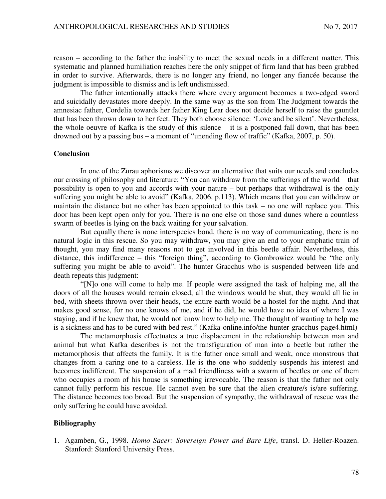reason – according to the father the inability to meet the sexual needs in a different matter. This systematic and planned humiliation reaches here the only snippet of firm land that has been grabbed in order to survive. Afterwards, there is no longer any friend, no longer any fiancée because the judgment is impossible to dismiss and is left undismissed.

The father intentionally attacks there where every argument becomes a two-edged sword and suicidally devastates more deeply. In the same way as the son from The Judgment towards the amnesiac father, Cordelia towards her father King Lear does not decide herself to raise the gauntlet that has been thrown down to her feet. They both choose silence: 'Love and be silent'. Nevertheless, the whole oeuvre of Kafka is the study of this silence  $-$  it is a postponed fall down, that has been drowned out by a passing bus – a moment of "unending flow of traffic" (Kafka, 2007, p. 50).

### **Conclusion**

In one of the Zürau aphorisms we discover an alternative that suits our needs and concludes our crossing of philosophy and literature: "You can withdraw from the sufferings of the world – that possibility is open to you and accords with your nature – but perhaps that withdrawal is the only suffering you might be able to avoid" (Kafka, 2006, p.113). Which means that you can withdraw or maintain the distance but no other has been appointed to this task – no one will replace you. This door has been kept open only for you. There is no one else on those sand dunes where a countless swarm of beetles is lying on the back waiting for your salvation.

But equally there is none interspecies bond, there is no way of communicating, there is no natural logic in this rescue. So you may withdraw, you may give an end to your emphatic train of thought, you may find many reasons not to get involved in this beetle affair. Nevertheless, this distance, this indifference – this "foreign thing", according to Gombrowicz would be "the only suffering you might be able to avoid". The hunter Gracchus who is suspended between life and death repeats this judgment:

"[N]o one will come to help me. If people were assigned the task of helping me, all the doors of all the houses would remain closed, all the windows would be shut, they would all lie in bed, with sheets thrown over their heads, the entire earth would be a hostel for the night. And that makes good sense, for no one knows of me, and if he did, he would have no idea of where I was staying, and if he knew that, he would not know how to help me. The thought of wanting to help me is a sickness and has to be cured with bed rest." (Kafka-online.info/the-hunter-gracchus-page4.html)

The metamorphosis effectuates a true displacement in the relationship between man and animal but what Kafka describes is not the transfiguration of man into a beetle but rather the metamorphosis that affects the family. It is the father once small and weak, once monstrous that changes from a caring one to a careless. He is the one who suddenly suspends his interest and becomes indifferent. The suspension of a mad friendliness with a swarm of beetles or one of them who occupies a room of his house is something irrevocable. The reason is that the father not only cannot fully perform his rescue. He cannot even be sure that the alien creature/s is/are suffering. The distance becomes too broad. But the suspension of sympathy, the withdrawal of rescue was the only suffering he could have avoided.

#### **Bibliography**

1. Agamben, G., 1998. *Homo Sacer: Sovereign Power and Bare Life*, transl. D. Heller-Roazen. Stanford: Stanford University Press.